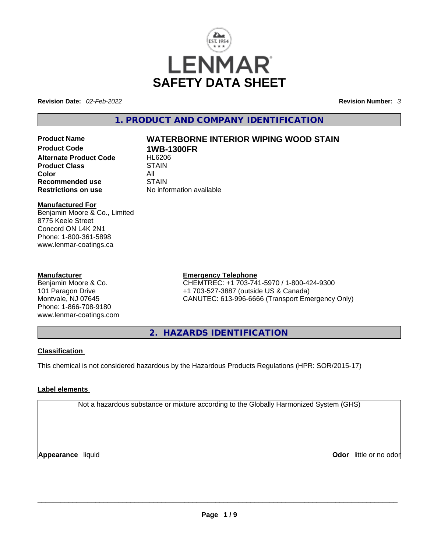

**Revision Date:** *02-Feb-2022* **Revision Number:** *3*

**1. PRODUCT AND COMPANY IDENTIFICATION** 

**Product Code 1WB-1300FR Alternate Product Code 6 HL6206**<br>Product Class **STAIN Product Class Color** All **Recommended use** STAIN **Restrictions on use** No information available

# **Product Name WATERBORNE INTERIOR WIPING WOOD STAIN**

#### **Manufactured For**

Benjamin Moore & Co., Limited 8775 Keele Street Concord ON L4K 2N1 Phone: 1-800-361-5898 www.lenmar-coatings.ca

#### **Manufacturer**

Benjamin Moore & Co. 101 Paragon Drive Montvale, NJ 07645 Phone: 1-866-708-9180 www.lenmar-coatings.com

#### **Emergency Telephone**

CHEMTREC: +1 703-741-5970 / 1-800-424-9300 +1 703-527-3887 (outside US & Canada) CANUTEC: 613-996-6666 (Transport Emergency Only)

**2. HAZARDS IDENTIFICATION** 

#### **Classification**

This chemical is not considered hazardous by the Hazardous Products Regulations (HPR: SOR/2015-17)

#### **Label elements**

Not a hazardous substance or mixture according to the Globally Harmonized System (GHS)

**Appearance** liquid **Odor** little or no odor  $\overline{\phantom{a}}$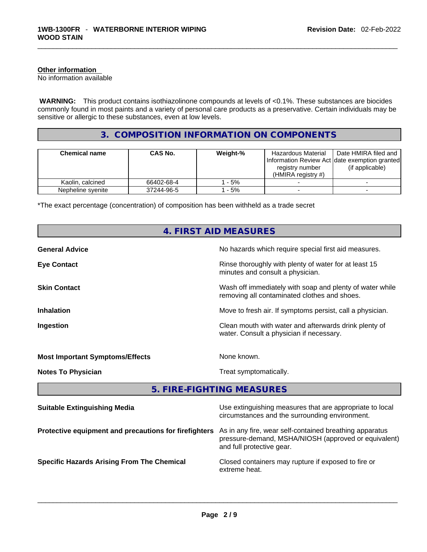#### **Other information**

No information available

 **WARNING:** This product contains isothiazolinone compounds at levels of <0.1%. These substances are biocides commonly found in most paints and a variety of personal care products as a preservative. Certain individuals may be sensitive or allergic to these substances, even at low levels.

#### **3. COMPOSITION INFORMATION ON COMPONENTS**

| <b>Chemical name</b> | CAS No.    | Weight-% | Hazardous Material<br>Information Review Act date exemption granted<br>registry number<br>(HMIRA registry $#$ ) | Date HMIRA filed and<br>(if applicable) |
|----------------------|------------|----------|-----------------------------------------------------------------------------------------------------------------|-----------------------------------------|
| Kaolin, calcined     | 66402-68-4 | - 5%     |                                                                                                                 |                                         |
| Nepheline svenite    | 37244-96-5 | $-5%$    |                                                                                                                 |                                         |

\*The exact percentage (concentration) of composition has been withheld as a trade secret

|                                                       | 4. FIRST AID MEASURES                                                                                                                        |  |
|-------------------------------------------------------|----------------------------------------------------------------------------------------------------------------------------------------------|--|
| <b>General Advice</b>                                 | No hazards which require special first aid measures.                                                                                         |  |
| <b>Eye Contact</b>                                    | Rinse thoroughly with plenty of water for at least 15<br>minutes and consult a physician.                                                    |  |
| <b>Skin Contact</b>                                   | Wash off immediately with soap and plenty of water while<br>removing all contaminated clothes and shoes.                                     |  |
| <b>Inhalation</b>                                     | Move to fresh air. If symptoms persist, call a physician.                                                                                    |  |
| Ingestion                                             | Clean mouth with water and afterwards drink plenty of<br>water. Consult a physician if necessary.                                            |  |
| <b>Most Important Symptoms/Effects</b>                | None known.                                                                                                                                  |  |
| <b>Notes To Physician</b>                             | Treat symptomatically.                                                                                                                       |  |
|                                                       | 5. FIRE-FIGHTING MEASURES                                                                                                                    |  |
| <b>Suitable Extinguishing Media</b>                   | Use extinguishing measures that are appropriate to local<br>circumstances and the surrounding environment.                                   |  |
| Protective equipment and precautions for firefighters | As in any fire, wear self-contained breathing apparatus<br>pressure-demand, MSHA/NIOSH (approved or equivalent)<br>and full protective gear. |  |
| <b>Specific Hazards Arising From The Chemical</b>     | Closed containers may rupture if exposed to fire or<br>extreme heat.                                                                         |  |
|                                                       |                                                                                                                                              |  |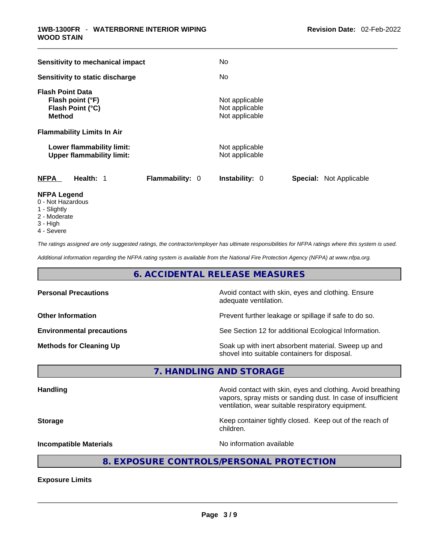| <b>Sensitivity to mechanical impact</b>                                          | No.                                                     |
|----------------------------------------------------------------------------------|---------------------------------------------------------|
| Sensitivity to static discharge                                                  | No.                                                     |
| <b>Flash Point Data</b><br>Flash point (°F)<br>Flash Point (°C)<br><b>Method</b> | Not applicable<br>Not applicable<br>Not applicable      |
| <b>Flammability Limits In Air</b>                                                |                                                         |
| Lower flammability limit:<br><b>Upper flammability limit:</b>                    | Not applicable<br>Not applicable                        |
| <b>NFPA</b><br>Health: 1<br><b>Flammability: 0</b>                               | <b>Special: Not Applicable</b><br><b>Instability: 0</b> |
| <b>NFPA Legend</b>                                                               |                                                         |

- 0 Not Hazardous
- 1 Slightly
- 2 Moderate
- 3 High
- 4 Severe

*The ratings assigned are only suggested ratings, the contractor/employer has ultimate responsibilities for NFPA ratings where this system is used.* 

*Additional information regarding the NFPA rating system is available from the National Fire Protection Agency (NFPA) at www.nfpa.org.* 

#### **6. ACCIDENTAL RELEASE MEASURES**

| <b>Personal Precautions</b>      | Avoid contact with skin, eyes and clothing. Ensure<br>adequate ventilation.                          |
|----------------------------------|------------------------------------------------------------------------------------------------------|
| <b>Other Information</b>         | Prevent further leakage or spillage if safe to do so.                                                |
| <b>Environmental precautions</b> | See Section 12 for additional Ecological Information.                                                |
| <b>Methods for Cleaning Up</b>   | Soak up with inert absorbent material. Sweep up and<br>shovel into suitable containers for disposal. |

**7. HANDLING AND STORAGE** 

| <b>Handling</b>               | Avoid contact with skin, eyes and clothing. Avoid breathing<br>vapors, spray mists or sanding dust. In case of insufficient<br>ventilation, wear suitable respiratory equipment. |
|-------------------------------|----------------------------------------------------------------------------------------------------------------------------------------------------------------------------------|
| <b>Storage</b>                | Keep container tightly closed. Keep out of the reach of<br>children.                                                                                                             |
| <b>Incompatible Materials</b> | No information available                                                                                                                                                         |
|                               |                                                                                                                                                                                  |

#### **8. EXPOSURE CONTROLS/PERSONAL PROTECTION**

**Exposure Limits**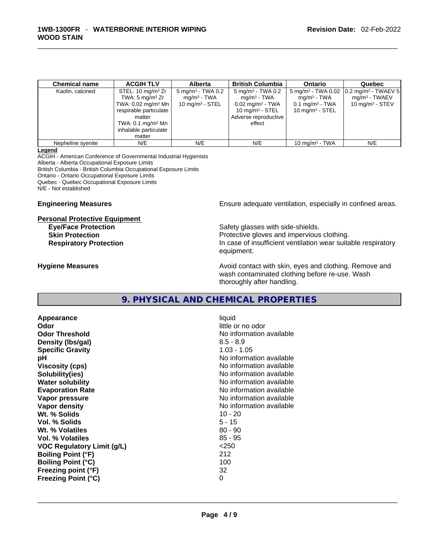| <b>Chemical name</b> | <b>ACGIH TLV</b>                                                                                                                                                        | <b>Alberta</b>                                                                | <b>British Columbia</b>                                                                                                                           | Ontario                                                                        | Quebec                                                                                                         |
|----------------------|-------------------------------------------------------------------------------------------------------------------------------------------------------------------------|-------------------------------------------------------------------------------|---------------------------------------------------------------------------------------------------------------------------------------------------|--------------------------------------------------------------------------------|----------------------------------------------------------------------------------------------------------------|
| Kaolin, calcined     | STEL: $10 \text{ mg/m}^3$ Zr<br>TWA: $5 \text{ mg/m}^3$ Zr<br>TWA: $0.02 \text{ mg/m}^3$ Mn $\vert$<br>respirable particulate<br>matter<br>TWA: $0.1 \text{ mg/m}^3$ Mn | $5 \text{ mg/m}^3$ - TWA 0.2<br>mg/m <sup>3</sup> - TWA<br>10 mg/m $3 -$ STEL | $5 \,\mathrm{mg/m^3}$ - TWA 0.2<br>mg/m <sup>3</sup> - TWA<br>$0.02 \text{ mg/m}^3$ - TWA<br>10 mg/m $3 -$ STEL<br>Adverse reproductive<br>effect | mg/m <sup>3</sup> - TWA<br>$0.1$ mg/m <sup>3</sup> - TWA<br>10 $mq/m^3$ - STEL | 5 mg/m <sup>3</sup> - TWA 0.02 $\vert$ 0.2 mg/m <sup>3</sup> - TWAEV 5<br>$mq/m3$ - TWAEV<br>10 $mq/m3$ - STEV |
|                      | inhalable particulate<br>matter                                                                                                                                         |                                                                               |                                                                                                                                                   |                                                                                |                                                                                                                |
| Nepheline syenite    | N/E                                                                                                                                                                     | N/E                                                                           | N/E                                                                                                                                               | 10 mg/m $3$ - TWA                                                              | N/E                                                                                                            |

#### **Legend**

ACGIH - American Conference of Governmental Industrial Hygienists Alberta - Alberta Occupational Exposure Limits British Columbia - British Columbia Occupational Exposure Limits Ontario - Ontario Occupational Exposure Limits Quebec - Quebec Occupational Exposure Limits N/E - Not established

## **Personal Protective Equipment**

**Engineering Measures Ensure** Ensure adequate ventilation, especially in confined areas.

Safety glasses with side-shields. **Skin Protection Protection Protective gloves and impervious clothing. Respiratory Protection In case of insufficient ventilation wear suitable respiratory** equipment.

**Hygiene Measures Avoid contact with skin, eyes and clothing. Remove and Hygiene Measures Avoid contact with skin, eyes and clothing. Remove and** wash contaminated clothing before re-use. Wash thoroughly after handling.

### **9. PHYSICAL AND CHEMICAL PROPERTIES**

**Appearance** liquid **Odor Odor Odor Odor Odor Odor** *little or no odor little or no odor little or no odor* **Odor Threshold** No information available **Density (lbs/gal)** 8.5 - 8.9 **Specific Gravity** 1.03 - 1.05 **pH pH** *No* information available **Viscosity (cps) No information available No** information available **Solubility(ies)** No information available **Water solubility Water solubility No information available Evaporation Rate No information available No information available Vapor pressure No information available No information available Vapor density No information available No information available Wt. % Solids** 10 - 20 **Vol. % Solids** 5 - 15 **Wt. % Volatiles** 80 - 90 **Vol. % Volatiles** 85 - 95 **VOC Regulatory Limit (g/L)** <250 **Boiling Point (°F)** 212 **Boiling Point (°C)** 100 **Freezing point (°F)** 32 **Freezing Point (°C)** 0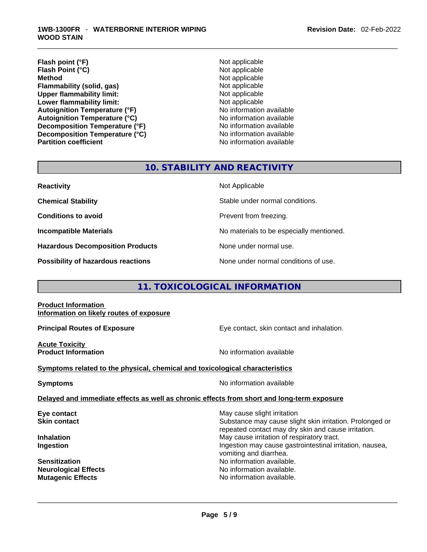- **Flash point (°F)**<br> **Flash Point (°C)**<br> **Flash Point (°C)**<br> **Not** applicable **Flash Point (°C) Method** Not applicable **Flammability (solid, gas)** Not applicable **Upper flammability limit:**<br> **Lower flammability limit:**<br>
Not applicable<br>
Not applicable **Lower flammability limit:**<br> **Autoignition Temperature (°F)** Not applicable available **Autoignition Temperature (°F) Autoignition Temperature (°C)**<br> **Decomposition Temperature (°F)** No information available **Decomposition Temperature (°F) Decomposition Temperature (°C)** No information available **Partition coefficient** No information available
	-

### **10. STABILITY AND REACTIVITY**

**Hazardous Decomposition Products** None under normal use.

**Not Applicable** 

**Chemical Stability** Stable under normal conditions.

**Conditions to avoid Prevent from freezing.** 

**Incompatible Materials No materials** No materials to be especially mentioned.

**Possibility of hazardous reactions** None under normal conditions of use.

#### **11. TOXICOLOGICAL INFORMATION**

#### **Product Information Information on likely routes of exposure**

**Acute Toxicity** 

**Principal Routes of Exposure Exposure** Eye contact, skin contact and inhalation.

**Product Information Information No information available** 

#### **Symptoms** related to the physical, chemical and toxicological characteristics

**Symptoms Symptoms No information available** 

#### **Delayed and immediate effects as well as chronic effects from short and long-term exposure**

**Eye contact Exercise 3 May cause slight irritation** 

**Skin contact Substance may cause slight skin irritation. Prolonged or** Substance may cause slight skin irritation. Prolonged or repeated contact may dry skin and cause irritation. **Inhalation Inhalation Inhalation May cause irritation of respiratory tract. Ingestion Ingestion Index is a structure of the line of the line of the line of the line of the line of the line of the line of the line of the line of the line of the line of the line of the line of the line of the l** vomiting and diarrhea. **Sensitization No information available. Neurological Effects No information available. Mutagenic Effects** No information available. \_\_\_\_\_\_\_\_\_\_\_\_\_\_\_\_\_\_\_\_\_\_\_\_\_\_\_\_\_\_\_\_\_\_\_\_\_\_\_\_\_\_\_\_\_\_\_\_\_\_\_\_\_\_\_\_\_\_\_\_\_\_\_\_\_\_\_\_\_\_\_\_\_\_\_\_\_\_\_\_\_\_\_\_\_\_\_\_\_\_\_\_\_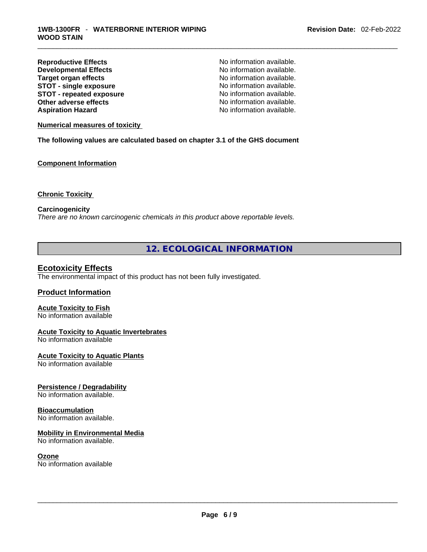**Reproductive Effects**<br> **Reproductive Effects**<br> **No information available.**<br>
No information available. **Developmental Effects<br>Target organ effects STOT** - single exposure **STOT** - **repeated exposure** No information available. **Other adverse effects No information available.**<br> **Aspiration Hazard No information available.**<br>
No information available.

No information available.<br>No information available. No information available.

#### **Numerical measures of toxicity**

**The following values are calculated based on chapter 3.1 of the GHS document**

#### **Component Information**

#### **Chronic Toxicity**

#### **Carcinogenicity**

*There are no known carcinogenic chemicals in this product above reportable levels.* 

#### **12. ECOLOGICAL INFORMATION**

#### **Ecotoxicity Effects**

The environmental impact of this product has not been fully investigated.

#### **Product Information**

#### **Acute Toxicity to Fish**

No information available

#### **Acute Toxicity to Aquatic Invertebrates**

No information available

#### **Acute Toxicity to Aquatic Plants**

No information available

#### **Persistence / Degradability**

No information available.

#### **Bioaccumulation**

No information available.

#### **Mobility in Environmental Media**

No information available.

**Ozone**<br>No information available No information available \_\_\_\_\_\_\_\_\_\_\_\_\_\_\_\_\_\_\_\_\_\_\_\_\_\_\_\_\_\_\_\_\_\_\_\_\_\_\_\_\_\_\_\_\_\_\_\_\_\_\_\_\_\_\_\_\_\_\_\_\_\_\_\_\_\_\_\_\_\_\_\_\_\_\_\_\_\_\_\_\_\_\_\_\_\_\_\_\_\_\_\_\_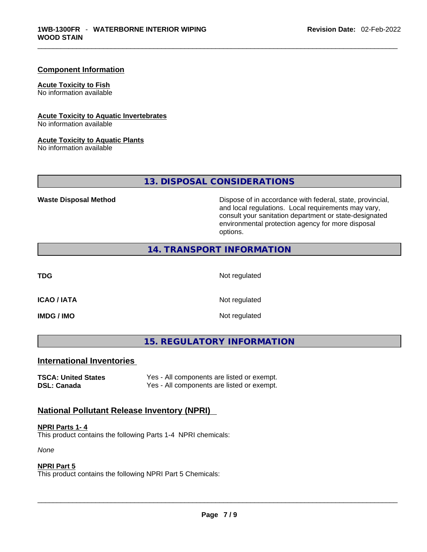#### **Component Information**

#### **Acute Toxicity to Fish**

No information available

#### **Acute Toxicity to Aquatic Invertebrates**

No information available

#### **Acute Toxicity to Aquatic Plants**

No information available

### **13. DISPOSAL CONSIDERATIONS**

**Waste Disposal Method** Dispose of in accordance with federal, state, provincial, and local regulations. Local requirements may vary, consult your sanitation department or state-designated environmental protection agency for more disposal options.

#### **14. TRANSPORT INFORMATION**

**TDG** Not regulated

**IMDG / IMO** Not regulated

**ICAO / IATA** Not regulated

#### **15. REGULATORY INFORMATION**

### **International Inventories**

**TSCA: United States** Yes - All components are listed or exempt. **DSL: Canada Yes - All components are listed or exempt.** 

### **National Pollutant Release Inventory (NPRI)**

#### **NPRI Parts 1- 4**

This product contains the following Parts 1-4 NPRI chemicals:

*None*

#### **NPRI Part 5**

This product contains the following NPRI Part 5 Chemicals: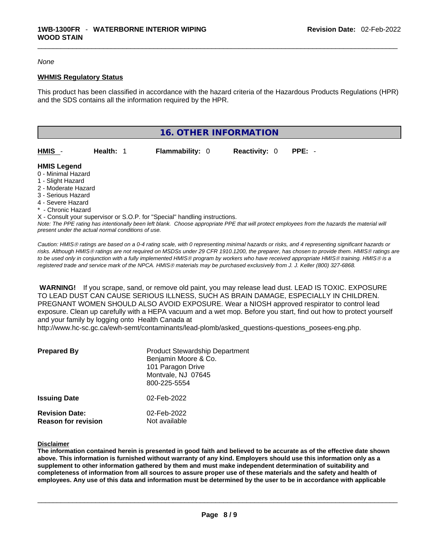#### *None*

#### **WHMIS Regulatory Status**

This product has been classified in accordance with the hazard criteria of the Hazardous Products Regulations (HPR) and the SDS contains all the information required by the HPR.



X - Consult your supervisor or S.O.P. for "Special" handling instructions.

Note: The PPE rating has intentionally been left blank. Choose appropriate PPE that will protect employees from the hazards the material will *present under the actual normal conditions of use.* 

*Caution: HMISÒ ratings are based on a 0-4 rating scale, with 0 representing minimal hazards or risks, and 4 representing significant hazards or risks. Although HMISÒ ratings are not required on MSDSs under 29 CFR 1910.1200, the preparer, has chosen to provide them. HMISÒ ratings are to be used only in conjunction with a fully implemented HMISÒ program by workers who have received appropriate HMISÒ training. HMISÒ is a registered trade and service mark of the NPCA. HMISÒ materials may be purchased exclusively from J. J. Keller (800) 327-6868.* 

 **WARNING!** If you scrape, sand, or remove old paint, you may release lead dust. LEAD IS TOXIC. EXPOSURE TO LEAD DUST CAN CAUSE SERIOUS ILLNESS, SUCH AS BRAIN DAMAGE, ESPECIALLY IN CHILDREN. PREGNANT WOMEN SHOULD ALSO AVOID EXPOSURE.Wear a NIOSH approved respirator to control lead exposure. Clean up carefully with a HEPA vacuum and a wet mop. Before you start, find out how to protect yourself and your family by logging onto Health Canada at

http://www.hc-sc.gc.ca/ewh-semt/contaminants/lead-plomb/asked\_questions-questions\_posees-eng.php.

| <b>Prepared By</b>                                  | <b>Product Stewardship Department</b><br>Benjamin Moore & Co.<br>101 Paragon Drive<br>Montvale, NJ 07645<br>800-225-5554 |
|-----------------------------------------------------|--------------------------------------------------------------------------------------------------------------------------|
| <b>Issuing Date</b>                                 | 02-Feb-2022                                                                                                              |
| <b>Revision Date:</b><br><b>Reason for revision</b> | 02-Feb-2022<br>Not available                                                                                             |

#### **Disclaimer**

The information contained herein is presented in good faith and believed to be accurate as of the effective date shown above. This information is furnished without warranty of any kind. Emplovers should use this information only as a **supplement to other information gathered by them and must make independent determination of suitability and** completeness of information from all sources to assure proper use of these materials and the safety and health of employees. Any use of this data and information must be determined by the user to be in accordance with applicable